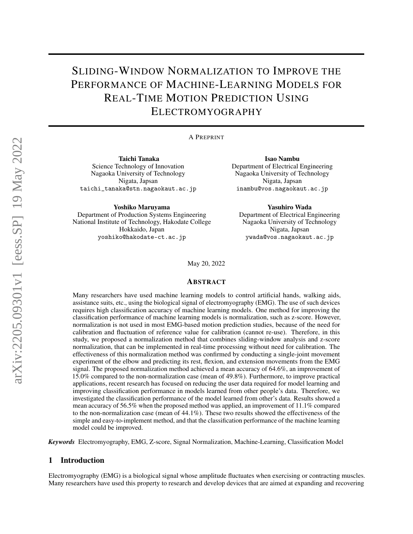# SLIDING-WINDOW NORMALIZATION TO IMPROVE THE PERFORMANCE OF MACHINE-LEARNING MODELS FOR REAL-TIME MOTION PREDICTION USING ELECTROMYOGRAPHY

A PREPRINT

Taichi Tanaka Science Technology of Innovation Nagaoka University of Technology Nigata, Japsan taichi\_tanaka@stn.nagaokaut.ac.jp

Yoshiko Maruyama Department of Production Systems Engineering National Institute of Technology, Hakodate College Hokkaido, Japan yoshiko@hakodate-ct.ac.jp

Isao Nambu Department of Electrical Engineering Nagaoka University of Technology Nigata, Japsan inambu@vos.nagaokaut.ac.jp

Yasuhiro Wada Department of Electrical Engineering Nagaoka University of Technology Nigata, Japsan ywada@vos.nagaokaut.ac.jp

May 20, 2022

#### ABSTRACT

Many researchers have used machine learning models to control artificial hands, walking aids, assistance suits, etc., using the biological signal of electromyography (EMG). The use of such devices requires high classification accuracy of machine learning models. One method for improving the classification performance of machine learning models is normalization, such as z-score. However, normalization is not used in most EMG-based motion prediction studies, because of the need for calibration and fluctuation of reference value for calibration (cannot re-use). Therefore, in this study, we proposed a normalization method that combines sliding-window analysis and z-score normalization, that can be implemented in real-time processing without need for calibration. The effectiveness of this normalization method was confirmed by conducting a single-joint movement experiment of the elbow and predicting its rest, flexion, and extension movements from the EMG signal. The proposed normalization method achieved a mean accuracy of 64.6%, an improvement of 15.0% compared to the non-normalization case (mean of 49.8%). Furthermore, to improve practical applications, recent research has focused on reducing the user data required for model learning and improving classification performance in models learned from other people's data. Therefore, we investigated the classification performance of the model learned from other's data. Results showed a mean accuracy of 56.5% when the proposed method was applied, an improvement of 11.1% compared to the non-normalization case (mean of 44.1%). These two results showed the effectiveness of the simple and easy-to-implement method, and that the classification performance of the machine learning model could be improved.

*Keywords* Electromyography, EMG, Z-score, Signal Normalization, Machine-Learning, Classification Model

#### 1 Introduction

Electromyography (EMG) is a biological signal whose amplitude fluctuates when exercising or contracting muscles. Many researchers have used this property to research and develop devices that are aimed at expanding and recovering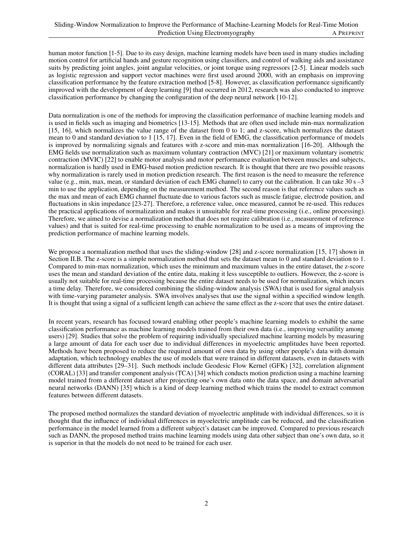human motor function [1-5]. Due to its easy design, machine learning models have been used in many studies including motion control for artificial hands and gesture recognition using classifiers, and control of walking aids and assistance suits by predicting joint angles, joint angular velocities, or joint torque using regressors [2-5]. Linear models such as logistic regression and support vector machines were first used around 2000, with an emphasis on improving classification performance by the feature extraction method [5-8]. However, as classification performance significantly improved with the development of deep learning [9] that occurred in 2012, research was also conducted to improve classification performance by changing the configuration of the deep neural network [10-12].

Data normalization is one of the methods for improving the classification performance of machine learning models and is used in fields such as imaging and biometrics [13-15]. Methods that are often used include min-max normalization [15, 16], which normalizes the value range of the dataset from 0 to 1; and z-score, which normalizes the dataset mean to 0 and standard deviation to 1 [15, 17]. Even in the field of EMG, the classification performance of models is improved by normalizing signals and features with z-score and min-max normalization [16-20]. Although the EMG fields use normalization such as maximum voluntary contraction (MVC) [21] or maximum voluntary isometric contraction (MVIC) [22] to enable motor analysis and motor performance evaluation between muscles and subjects, normalization is hardly used in EMG-based motion prediction research. It is thought that there are two possible reasons why normalization is rarely used in motion prediction research. The first reason is the need to measure the reference value (e.g., min, max, mean, or standard deviation of each EMG channel) to carry out the calibration. It can take 30 s –3 min to use the application, depending on the measurement method. The second reason is that reference values such as the max and mean of each EMG channel fluctuate due to various factors such as muscle fatigue, electrode position, and fluctuations in skin impedance [23-27]. Therefore, a reference value, once measured, cannot be re-used. This reduces the practical applications of normalization and makes it unsuitable for real-time processing (i.e., online processing). Therefore, we aimed to devise a normalization method that does not require calibration (i.e., measurement of reference values) and that is suited for real-time processing to enable normalization to be used as a means of improving the prediction performance of machine learning models.

We propose a normalization method that uses the sliding-window [28] and z-score normalization [15, 17] shown in Section II.B. The z-score is a simple normalization method that sets the dataset mean to 0 and standard deviation to 1. Compared to min-max normalization, which uses the minimum and maximum values in the entire dataset, the z-score uses the mean and standard deviation of the entire data, making it less susceptible to outliers. However, the z-score is usually not suitable for real-time processing because the entire dataset needs to be used for normalization, which incurs a time delay. Therefore, we considered combining the sliding-window analysis (SWA) that is used for signal analysis with time-varying parameter analysis. SWA involves analyses that use the signal within a specified window length. It is thought that using a signal of a sufficient length can achieve the same effect as the z-score that uses the entire dataset.

In recent years, research has focused toward enabling other people's machine learning models to exhibit the same classification performance as machine learning models trained from their own data (i.e., improving versatility among users) [29]. Studies that solve the problem of requiring individually specialized machine learning models by measuring a large amount of data for each user due to individual differences in myoelectric amplitudes have been reported. Methods have been proposed to reduce the required amount of own data by using other people's data with domain adaptation, which technology enables the use of models that were trained in different datasets, even in datasets with different data attributes [29–31]. Such methods include Geodesic Flow Kernel (GFK) [32], correlation alignment (CORAL) [33] and transfer component analysis (TCA) [34] which conducts motion prediction using a machine learning model trained from a different dataset after projecting one's own data onto the data space, and domain adversarial neural networks (DANN) [35] which is a kind of deep learning method which trains the model to extract common features between different datasets.

The proposed method normalizes the standard deviation of myoelectric amplitude with individual differences, so it is thought that the influence of individual differences in myoelectric amplitude can be reduced, and the classification performance in the model learned from a different subject's dataset can be improved. Compared to previous research such as DANN, the proposed method trains machine learning models using data other subject than one's own data, so it is superior in that the models do not need to be trained for each user.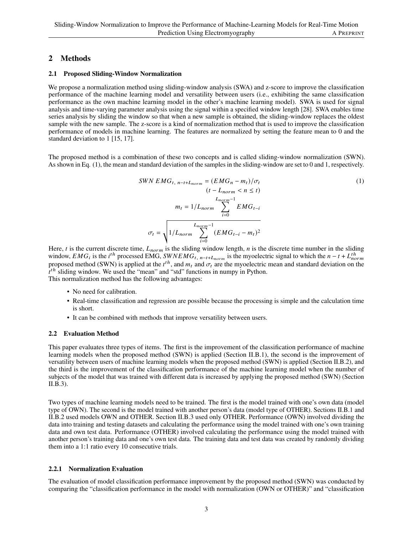# 2 Methods

#### 2.1 Proposed Sliding-Window Normalization

We propose a normalization method using sliding-window analysis (SWA) and z-score to improve the classification performance of the machine learning model and versatility between users (i.e., exhibiting the same classification performance as the own machine learning model in the other's machine learning model). SWA is used for signal analysis and time-varying parameter analysis using the signal within a specified window length [28]. SWA enables time series analysis by sliding the window so that when a new sample is obtained, the sliding-window replaces the oldest sample with the new sample. The z-score is a kind of normalization method that is used to improve the classification performance of models in machine learning. The features are normalized by setting the feature mean to 0 and the standard deviation to 1 [15, 17].

The proposed method is a combination of these two concepts and is called sliding-window normalization (SWN). As shown in Eq. (1), the mean and standard deviation of the samples in the sliding-window are set to 0 and 1, respectively.

$$
SWN EMG_{t, n-t+L_{norm}} = (EMG_n - m_t)/\sigma_t
$$
  
\n
$$
(t - L_{norm} < n \le t)
$$
  
\n
$$
m_t = 1/L_{norm} \sum_{i=0}^{L_{norm}-1} EMG_{t-i}
$$
  
\n
$$
\sigma_t = \sqrt{\frac{1}{L_{norm} - 1} \sum_{i=0}^{L_{norm}-1} (EMG_{t-i} - m_t)^2}
$$
 (1)

Here, *t* is the current discrete time,  $L_{norm}$  is the sliding window length, *n* is the discrete time number in the sliding window,  $EMG_i$  is the  $i^{th}$  processed EMG,  $SWNEMG_{t, n-t+L_{norm}}$  is the myoelectric signal to which the  $n-t+L_{norm}^{th}$ proposed method (SWN) is applied at the  $t^{th}$ , and  $m_t$  and  $\sigma_t$  are the myoelectric mean and standard deviation on the  $t^{th}$  sliding window. We used the "mean" and "std" functions in numpy in Python. This normalization method has the following advantages:

- No need for calibration.
- Real-time classification and regression are possible because the processing is simple and the calculation time is short.
- It can be combined with methods that improve versatility between users.

## 2.2 Evaluation Method

This paper evaluates three types of items. The first is the improvement of the classification performance of machine learning models when the proposed method (SWN) is applied (Section II.B.1), the second is the improvement of versatility between users of machine learning models when the proposed method (SWN) is applied (Section II.B.2), and the third is the improvement of the classification performance of the machine learning model when the number of subjects of the model that was trained with different data is increased by applying the proposed method (SWN) (Section II.B.3).

Two types of machine learning models need to be trained. The first is the model trained with one's own data (model type of OWN). The second is the model trained with another person's data (model type of OTHER). Sections II.B.1 and II.B.2 used models OWN and OTHER. Section II.B.3 used only OTHER. Performance (OWN) involved dividing the data into training and testing datasets and calculating the performance using the model trained with one's own training data and own test data. Performance (OTHER) involved calculating the performance using the model trained with another person's training data and one's own test data. The training data and test data was created by randomly dividing them into a 1:1 ratio every 10 consecutive trials.

## 2.2.1 Normalization Evaluation

The evaluation of model classification performance improvement by the proposed method (SWN) was conducted by comparing the "classification performance in the model with normalization (OWN or OTHER)" and "classification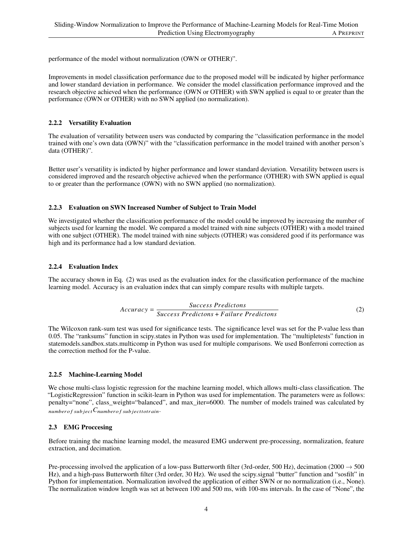performance of the model without normalization (OWN or OTHER)".

Improvements in model classification performance due to the proposed model will be indicated by higher performance and lower standard deviation in performance. We consider the model classification performance improved and the research objective achieved when the performance (OWN or OTHER) with SWN applied is equal to or greater than the performance (OWN or OTHER) with no SWN applied (no normalization).

#### 2.2.2 Versatility Evaluation

The evaluation of versatility between users was conducted by comparing the "classification performance in the model trained with one's own data (OWN)" with the "classification performance in the model trained with another person's data (OTHER)".

Better user's versatility is indicted by higher performance and lower standard deviation. Versatility between users is considered improved and the research objective achieved when the performance (OTHER) with SWN applied is equal to or greater than the performance (OWN) with no SWN applied (no normalization).

#### 2.2.3 Evaluation on SWN Increased Number of Subject to Train Model

We investigated whether the classification performance of the model could be improved by increasing the number of subjects used for learning the model. We compared a model trained with nine subjects (OTHER) with a model trained with one subject (OTHER). The model trained with nine subjects (OTHER) was considered good if its performance was high and its performance had a low standard deviation.

#### 2.2.4 Evaluation Index

The accuracy shown in Eq. (2) was used as the evaluation index for the classification performance of the machine learning model. Accuracy is an evaluation index that can simply compare results with multiple targets.

$$
Accuracy = \frac{Success\,Fractions}{Success\, Predictions + Failure\, Predictions} \tag{2}
$$

The Wilcoxon rank-sum test was used for significance tests. The significance level was set for the P-value less than 0.05. The "ranksums" function in scipy.states in Python was used for implementation. The "multipletests" function in statemodels.sandbox.stats.multicomp in Python was used for multiple comparisons. We used Bonferroni correction as the correction method for the P-value.

## 2.2.5 Machine-Learning Model

We chose multi-class logistic regression for the machine learning model, which allows multi-class classification. The "LogisticRegression" function in scikit-learn in Python was used for implementation. The parameters were as follows: penalty="none", class\_weight="balanced", and max\_iter=6000. The number of models trained was calculated by number of subject  $C_{number}$  subject to train.

## 2.3 EMG Proccesing

Before training the machine learning model, the measured EMG underwent pre-processing, normalization, feature extraction, and decimation.

Pre-processing involved the application of a low-pass Butterworth filter (3rd-order, 500 Hz), decimation (2000  $\rightarrow$  500 Hz), and a high-pass Butterworth filter (3rd order, 30 Hz). We used the scipy.signal "butter" function and "sosfilt" in Python for implementation. Normalization involved the application of either SWN or no normalization (i.e., None). The normalization window length was set at between 100 and 500 ms, with 100-ms intervals. In the case of "None", the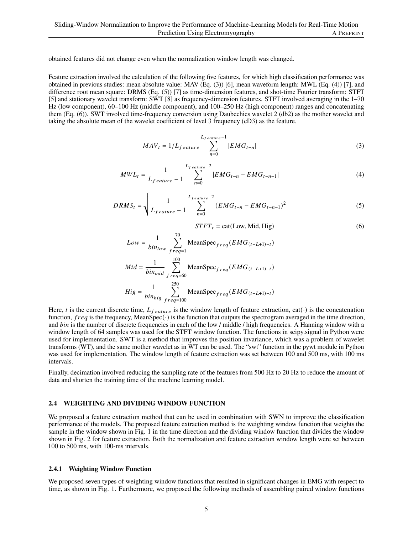obtained features did not change even when the normalization window length was changed.

Feature extraction involved the calculation of the following five features, for which high classification performance was obtained in previous studies: mean absolute value: MAV (Eq. (3)) [6], mean waveform length: MWL (Eq. (4)) [7], and difference root mean square: DRMS (Eq. (5)) [7] as time-dimension features, and shot-time Fourier transform: STFT [5] and stationary wavelet transform: SWT [8] as frequency-dimension features. STFT involved averaging in the 1–70 Hz (low component), 60–100 Hz (middle component), and 100–250 Hz (high component) ranges and concatenating them (Eq. (6)). SWT involved time-frequency conversion using Daubechies wavelet 2 (db2) as the mother wavelet and taking the absolute mean of the wavelet coefficient of level 3 frequency (cD3) as the feature.

$$
MAV_t = 1/L_{feature} \sum_{n=0}^{L_{feature}-1} |EMG_{t-n}|
$$
\n(3)

$$
MWL_t = \frac{1}{L_{feature} - 1} \sum_{n=0}^{L_{feature} - 2} |EMG_{t-n} - EMG_{t-n-1}|
$$
 (4)

$$
DRMS_t = \sqrt{\frac{1}{L_{feature} - 1} \sum_{n=0}^{L_{feature} - 2} (EMG_{t-n} - EMG_{t-n-1})^2}
$$
(5)

 $STFT<sub>t</sub> = cat(Low, Mid, High)$  (6)

$$
Low = \frac{1}{bin_{low}} \sum_{freq=1}^{70} \text{MeanSpec}_{freq}(EMG_{(t-L+1)-t})
$$
  
\n
$$
Mid = \frac{1}{bin_{mid}} \sum_{freq=60}^{100} \text{MeanSpec}_{freq}(EMG_{(t-L+1)-t})
$$
  
\n
$$
Hig = \frac{1}{bin_{high}} \sum_{freq=100}^{250} \text{MeanSpec}_{freq}(EMG_{(t-L+1)-t})
$$

Here, t is the current discrete time,  $L_{feature}$  is the window length of feature extraction, cat( $\cdot$ ) is the concatenation function,  $freq$  is the frequency, MeanSpec( $\cdot$ ) is the function that outputs the spectrogram averaged in the time direction, and *bin* is the number of discrete frequencies in each of the low / middle / high frequencies. A Hanning window with a window length of 64 samples was used for the STFT window function. The functions in scipy.signal in Python were used for implementation. SWT is a method that improves the position invariance, which was a problem of wavelet transforms (WT), and the same mother wavelet as in WT can be used. The "swt" function in the pywt module in Python was used for implementation. The window length of feature extraction was set between 100 and 500 ms, with 100 ms intervals.

Finally, decimation involved reducing the sampling rate of the features from 500 Hz to 20 Hz to reduce the amount of data and shorten the training time of the machine learning model.

#### 2.4 WEIGHTING AND DIVIDING WINDOW FUNCTION

We proposed a feature extraction method that can be used in combination with SWN to improve the classification performance of the models. The proposed feature extraction method is the weighting window function that weights the sample in the window shown in Fig. 1 in the time direction and the dividing window function that divides the window shown in Fig. 2 for feature extraction. Both the normalization and feature extraction window length were set between 100 to 500 ms, with 100-ms intervals.

#### 2.4.1 Weighting Window Function

We proposed seven types of weighting window functions that resulted in significant changes in EMG with respect to time, as shown in Fig. 1. Furthermore, we proposed the following methods of assembling paired window functions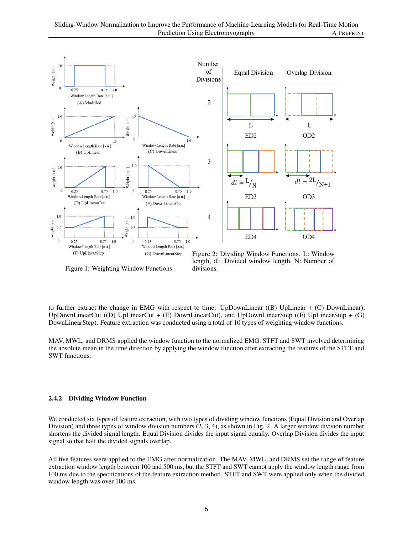

Figure 1: Weighting Window Functions.

length, dl: Divided window length, N: Number of divisions.

to further extract the change in EMG with respect to time: UpDownLinear ((B) UpLinear + (C) DownLinear), UpDownLinearCut ((D) UpLinearCut +  $(E)$  DownLinearCut), and UpDownLinearStep ( $(F)$  UpLinearStep +  $(G)$ DownLinearStep). Feature extraction was conducted using a total of 10 types of weighting window functions.

MAV, MWL, and DRMS applied the window function to the normalized EMG. STFT and SWT involved determining the absolute mean in the time direction by applying the window function after extracting the features of the STFT and SWT functions.

#### 2.4.2 Dividing Window Function

We conducted six types of feature extraction, with two types of dividing window functions (Equal Division and Overlap Division) and three types of window division numbers  $(2, 3, 4)$ , as shown in Fig. 2. A larger window division number shortens the divided signal length. Equal Division divides the input signal equally. Overlap Division divides the input signal so that half the divided signals overlap.

All five features were applied to the EMG after normalization. The MAV, MWL, and DRMS set the range of feature extraction window length between 100 and 500 ms, but the STFT and SWT cannot apply the window length range from 100 ms due to the specifications of the feature extraction method. STFT and SWT were applied only when the divided window length was over 100 ms.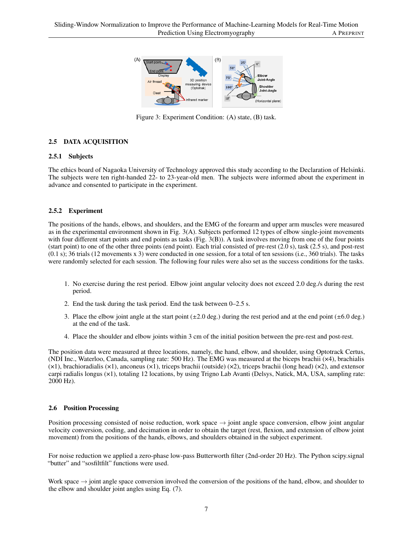

Figure 3: Experiment Condition: (A) state, (B) task.

## 2.5 DATA ACQUISITION

## 2.5.1 Subjects

The ethics board of Nagaoka University of Technology approved this study according to the Declaration of Helsinki. The subjects were ten right-handed 22- to 23-year-old men. The subjects were informed about the experiment in advance and consented to participate in the experiment.

## 2.5.2 Experiment

The positions of the hands, elbows, and shoulders, and the EMG of the forearm and upper arm muscles were measured as in the experimental environment shown in Fig. 3(A). Subjects performed 12 types of elbow single-joint movements with four different start points and end points as tasks (Fig. 3(B)). A task involves moving from one of the four points (start point) to one of the other three points (end point). Each trial consisted of pre-rest (2.0 s), task (2.5 s), and post-rest (0.1 s); 36 trials (12 movements x 3) were conducted in one session, for a total of ten sessions (i.e., 360 trials). The tasks were randomly selected for each session. The following four rules were also set as the success conditions for the tasks.

- 1. No exercise during the rest period. Elbow joint angular velocity does not exceed 2.0 deg./s during the rest period.
- 2. End the task during the task period. End the task between 0–2.5 s.
- 3. Place the elbow joint angle at the start point  $(\pm 2.0 \text{ deg.})$  during the rest period and at the end point  $(\pm 6.0 \text{ deg.})$ at the end of the task.
- 4. Place the shoulder and elbow joints within 3 cm of the initial position between the pre-rest and post-rest.

The position data were measured at three locations, namely, the hand, elbow, and shoulder, using Optotrack Certus, (NDI Inc., Waterloo, Canada, sampling rate: 500 Hz). The EMG was measured at the biceps brachii (×4), brachialis  $(x)$ , brachioradialis  $(x)$ , anconeus  $(x)$ , triceps brachii (outside)  $(x)$ , triceps brachii (long head)  $(x)$ , and extensor carpi radialis longus (×1), totaling 12 locations, by using Trigno Lab Avanti (Delsys, Natick, MA, USA, sampling rate: 2000 Hz).

#### 2.6 Position Processing

Position processing consisted of noise reduction, work space  $\rightarrow$  joint angle space conversion, elbow joint angular velocity conversion, coding, and decimation in order to obtain the target (rest, flexion, and extension of elbow joint movement) from the positions of the hands, elbows, and shoulders obtained in the subject experiment.

For noise reduction we applied a zero-phase low-pass Butterworth filter (2nd-order 20 Hz). The Python scipy.signal "butter" and "sosfiltfilt" functions were used.

Work space  $\rightarrow$  joint angle space conversion involved the conversion of the positions of the hand, elbow, and shoulder to the elbow and shoulder joint angles using Eq. (7).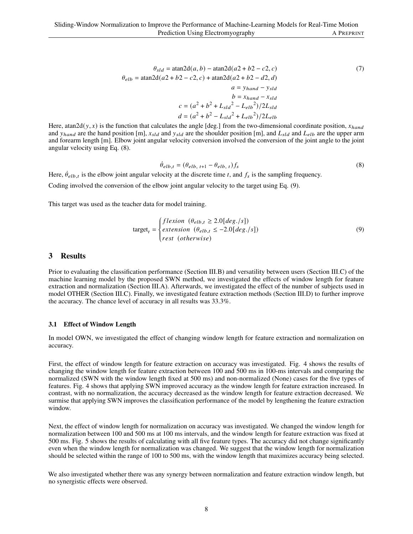$$
\theta_{sld} = \text{atan2d}(a, b) - \text{atan2d}(a2 + b2 - c2, c)
$$
(7)  

$$
\theta_{elb} = \text{atan2d}(a2 + b2 - c2, c) + \text{atan2d}(a2 + b2 - d2, d)
$$

$$
a = y_{hand} - y_{sld}
$$

$$
b = x_{hand} - x_{sld}
$$

$$
c = (a^2 + b^2 + L_{sld}^2 - L_{elb}^2)/2L_{sld}
$$

$$
d = (a^2 + b^2 - L_{sld}^2 + L_{elb}^2)/2L_{elb}
$$

Here, atan2d(y, x) is the function that calculates the angle [deg.] from the two-dimensional coordinate position,  $x_{hand}$ and  $y_{hand}$  are the hand position [m],  $x_{std}$  and  $y_{std}$  are the shoulder position [m], and  $L_{std}$  and  $L_{elb}$  are the upper arm and forearm length [m]. Elbow joint angular velocity conversion involved the conversion of the joint angle to the joint angular velocity using Eq. (8).

$$
\dot{\theta}_{elb,t} = (\theta_{elb, t+1} - \theta_{elb, t})f_s \tag{8}
$$

Here,  $\dot{\theta}_{elb,t}$  is the elbow joint angular velocity at the discrete time t, and  $f_s$  is the sampling frequency.

Coding involved the conversion of the elbow joint angular velocity to the target using Eq. (9).

J.

This target was used as the teacher data for model training.

$$
\text{target}_{t} = \begin{cases} flexion \ (\theta_{elb,t} \ge 2.0[deg./s]) \\ extension \ (\theta_{elb,t} \le -2.0[deg./s]) \\ rest \ (otherwise) \end{cases} \tag{9}
$$

#### 3 Results

Prior to evaluating the classification performance (Section III.B) and versatility between users (Section III.C) of the machine learning model by the proposed SWN method, we investigated the effects of window length for feature extraction and normalization (Section III.A). Afterwards, we investigated the effect of the number of subjects used in model OTHER (Section III.C). Finally, we investigated feature extraction methods (Section III.D) to further improve the accuracy. The chance level of accuracy in all results was 33.3%.

#### 3.1 Effect of Window Length

In model OWN, we investigated the effect of changing window length for feature extraction and normalization on accuracy.

First, the effect of window length for feature extraction on accuracy was investigated. Fig. 4 shows the results of changing the window length for feature extraction between 100 and 500 ms in 100-ms intervals and comparing the normalized (SWN with the window length fixed at 500 ms) and non-normalized (None) cases for the five types of features. Fig. 4 shows that applying SWN improved accuracy as the window length for feature extraction increased. In contrast, with no normalization, the accuracy decreased as the window length for feature extraction decreased. We surmise that applying SWN improves the classification performance of the model by lengthening the feature extraction window.

Next, the effect of window length for normalization on accuracy was investigated. We changed the window length for normalization between 100 and 500 ms at 100 ms intervals, and the window length for feature extraction was fixed at 500 ms. Fig. 5 shows the results of calculating with all five feature types. The accuracy did not change significantly even when the window length for normalization was changed. We suggest that the window length for normalization should be selected within the range of 100 to 500 ms, with the window length that maximizes accuracy being selected.

We also investigated whether there was any synergy between normalization and feature extraction window length, but no synergistic effects were observed.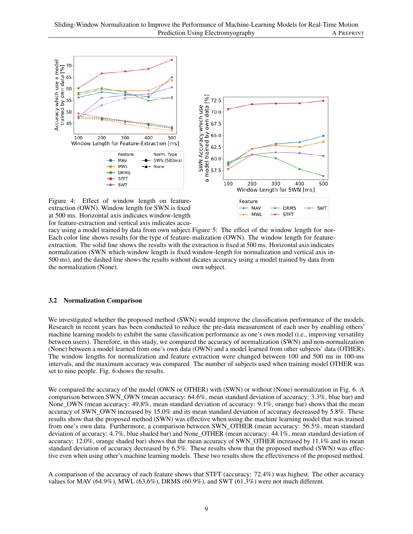

Figure 4: Effect of window length on featureextraction (OWN). Window length for SWN is fixed at 500 ms. Horizontal axis indicates window-length for feature-extraction and vertical axis indicates accu-

racy using a model trained by data from own subject. Figure 5: The effect of the window length for nor-Each color line shows results for the type of feature-malization (OWN). The window length for featureextraction. The solid line shows the results with the extraction is fixed at 500 ms. Horizontal axis indicates normalization (SWN which window length is fixed window-length for normalization and vertical axis in-500 ms), and the dashed line shows the results without dicates accuracy using a model trained by data from the normalization (None). own subject.

- MAV

**MWI** 

**DRMS** 

STFT

SWT

#### 3.2 Normalization Comparison

We investigated whether the proposed method (SWN) would improve the classification performance of the models. Research in recent years has been conducted to reduce the pre-data measurement of each user by enabling others' machine learning models to exhibit the same classification performance as one's own model (i.e., improving versatility between users). Therefore, in this study, we compared the accuracy of normalization (SWN) and non-normalization (None) between a model learned from one's own data (OWN) and a model learned from other subjects' data (OTHER). The window lengths for normalization and feature extraction were changed between 100 and 500 ms in 100-ms intervals, and the maximum accuracy was compared. The number of subjects used when training model OTHER was set to nine people. Fig. 6 shows the results.

We compared the accuracy of the model (OWN or OTHER) with (SWN) or without (None) normalization in Fig. 6. A comparison between SWN\_OWN (mean accuracy: 64.6%, mean standard deviation of accuracy: 3.3%, blue bar) and None\_OWN (mean accuracy: 49.8%, mean standard deviation of accuracy: 9.1%, orange bar) shows that the mean accuracy of SWN\_OWN increased by 15.0% and its mean standard deviation of accuracy decreased by 5.8%. These results show that the proposed method (SWN) was effective when using the machine learning model that was trained from one's own data. Furthermore, a comparison between SWN\_OTHER (mean accuracy: 56.5%, mean standard deviation of accuracy: 4.7%, blue shaded bar) and None\_OTHER (mean accuracy: 44.1%, mean standard deviation of accuracy: 12.0%, orange shaded bar) shows that the mean accuracy of SWN\_OTHER increased by 11.1% and its mean standard deviation of accuracy decreased by 6.5%. These results show that the proposed method (SWN) was effective even when using other's machine learning models. These two results show the effectiveness of the proposed method.

A comparison of the accuracy of each feature shows that STFT (accuracy: 72.4%) was highest. The other accuracy values for MAV  $(64.9\%)$ , MWL  $(63.6\%)$ , DRMS  $(60.9\%)$ , and SWT  $(61.3\%)$  were not much different.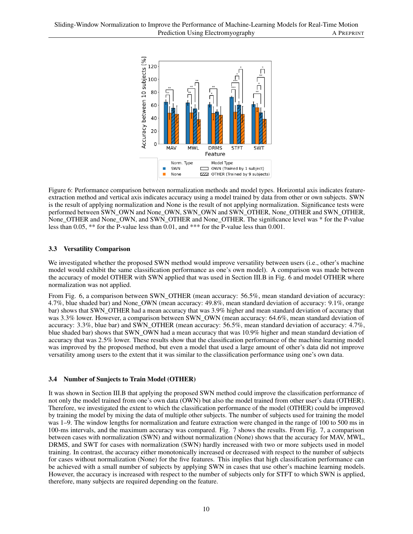

Figure 6: Performance comparison between normalization methods and model types. Horizontal axis indicates featureextraction method and vertical axis indicates accuracy using a model trained by data from other or own subjects. SWN is the result of applying normalization and None is the result of not applying normalization. Significance tests were performed between SWN\_OWN and None\_OWN, SWN\_OWN and SWN\_OTHER, None\_OTHER and SWN\_OTHER, None\_OTHER and None\_OWN, and SWN\_OTHER and None\_OTHER. The significance level was \* for the P-value less than 0.05, \*\* for the P-value less than 0.01, and \*\*\* for the P-value less than 0.001.

## 3.3 Versatility Comparison

We investigated whether the proposed SWN method would improve versatility between users (i.e., other's machine model would exhibit the same classification performance as one's own model). A comparison was made between the accuracy of model OTHER with SWN applied that was used in Section III.B in Fig. 6 and model OTHER where normalization was not applied.

From Fig. 6, a comparison between SWN\_OTHER (mean accuracy: 56.5%, mean standard deviation of accuracy: 4.7%, blue shaded bar) and None\_OWN (mean accuracy: 49.8%, mean standard deviation of accuracy: 9.1%, orange bar) shows that SWN\_OTHER had a mean accuracy that was 3.9% higher and mean standard deviation of accuracy that was 3.3% lower. However, a comparison between SWN\_OWN (mean accuracy: 64.6%, mean standard deviation of accuracy: 3.3%, blue bar) and SWN\_OTHER (mean accuracy: 56.5%, mean standard deviation of accuracy: 4.7%, blue shaded bar) shows that SWN\_OWN had a mean accuracy that was 10.9% higher and mean standard deviation of accuracy that was 2.5% lower. These results show that the classification performance of the machine learning model was improved by the proposed method, but even a model that used a large amount of other's data did not improve versatility among users to the extent that it was similar to the classification performance using one's own data.

## 3.4 Number of Sunjects to Train Model (OTHER)

It was shown in Section III.B that applying the proposed SWN method could improve the classification performance of not only the model trained from one's own data (OWN) but also the model trained from other user's data (OTHER). Therefore, we investigated the extent to which the classification performance of the model (OTHER) could be improved by training the model by mixing the data of multiple other subjects. The number of subjects used for training the model was 1–9. The window lengths for normalization and feature extraction were changed in the range of 100 to 500 ms in 100-ms intervals, and the maximum accuracy was compared. Fig. 7 shows the results. From Fig. 7, a comparison between cases with normalization (SWN) and without normalization (None) shows that the accuracy for MAV, MWL, DRMS, and SWT for cases with normalization (SWN) hardly increased with two or more subjects used in model training. In contrast, the accuracy either monotonically increased or decreased with respect to the number of subjects for cases without normalization (None) for the five features. This implies that high classification performance can be achieved with a small number of subjects by applying SWN in cases that use other's machine learning models. However, the accuracy is increased with respect to the number of subjects only for STFT to which SWN is applied, therefore, many subjects are required depending on the feature.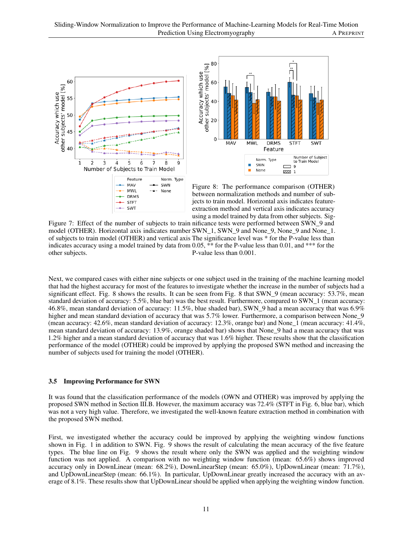



Figure 8: The performance comparison (OTHER) between normalization methods and number of subjects to train model. Horizontal axis indicates featureextraction method and vertical axis indicates accuracy using a model trained by data from other subjects. Sig-

Figure 7: Effect of the number of subjects to train nificance tests were performed between SWN\_9 and model (OTHER). Horizontal axis indicates number SWN\_1, SWN\_9 and None\_9, None\_9 and None\_1. of subjects to train model (OTHER) and vertical axis The significance level was \* for the P-value less than indicates accuracy using a model trained by data from 0.05, \*\* for the P-value less than 0.01, and \*\*\* for the other subjects. P-value less than 0.001.

Next, we compared cases with either nine subjects or one subject used in the training of the machine learning model that had the highest accuracy for most of the features to investigate whether the increase in the number of subjects had a significant effect. Fig. 8 shows the results. It can be seen from Fig. 8 that SWN 9 (mean accuracy: 53.7%, mean standard deviation of accuracy: 5.5%, blue bar) was the best result. Furthermore, compared to SWN\_1 (mean accuracy: 46.8%, mean standard deviation of accuracy: 11.5%, blue shaded bar), SWN\_9 had a mean accuracy that was 6.9% higher and mean standard deviation of accuracy that was 5.7% lower. Furthermore, a comparison between None\_9 (mean accuracy: 42.6%, mean standard deviation of accuracy: 12.3%, orange bar) and None\_1 (mean accuracy: 41.4%, mean standard deviation of accuracy: 13.9%, orange shaded bar) shows that None\_9 had a mean accuracy that was 1.2% higher and a mean standard deviation of accuracy that was 1.6% higher. These results show that the classification performance of the model (OTHER) could be improved by applying the proposed SWN method and increasing the number of subjects used for training the model (OTHER).

#### 3.5 Improving Performance for SWN

It was found that the classification performance of the models (OWN and OTHER) was improved by applying the proposed SWN method in Section III.B. However, the maximum accuracy was 72.4% (STFT in Fig. 6, blue bar), which was not a very high value. Therefore, we investigated the well-known feature extraction method in combination with the proposed SWN method.

First, we investigated whether the accuracy could be improved by applying the weighting window functions shown in Fig. 1 in addition to SWN. Fig. 9 shows the result of calculating the mean accuracy of the five feature types. The blue line on Fig. 9 shows the result where only the SWN was applied and the weighting window function was not applied. A comparison with no weighting window function (mean: 65.6%) shows improved accuracy only in DownLinear (mean: 68.2%), DownLinearStep (mean: 65.0%), UpDownLinear (mean: 71.7%), and UpDownLinearStep (mean: 66.1%). In particular, UpDownLinear greatly increased the accuracy with an average of 8.1%. These results show that UpDownLinear should be applied when applying the weighting window function.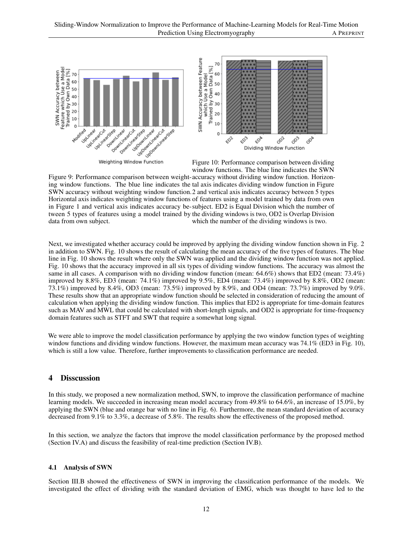

Weighting Window Function

Figure 10: Performance comparison between dividing window functions. The blue line indicates the SWN

Figure 9: Performance comparison between weight-accuracy without dividing window function. Horizoning window functions. The blue line indicates the tal axis indicates dividing window function in Figure SWN accuracy without weighting window function. 2 and vertical axis indicates accuracy between 5 types Horizontal axis indicates weighting window functions of features using a model trained by data from own in Figure 1 and vertical axis indicates accuracy be-subject. ED2 is Equal Division which the number of tween 5 types of features using a model trained by the dividing windows is two, OD2 is Overlap Division data from own subject. which the number of the dividing windows is two.

Next, we investigated whether accuracy could be improved by applying the dividing window function shown in Fig. 2 in addition to SWN. Fig. 10 shows the result of calculating the mean accuracy of the five types of features. The blue line in Fig. 10 shows the result where only the SWN was applied and the dividing window function was not applied. Fig. 10 shows that the accuracy improved in all six types of dividing window functions. The accuracy was almost the same in all cases. A comparison with no dividing window function (mean: 64.6%) shows that ED2 (mean: 73.4%) improved by 8.8%, ED3 (mean: 74.1%) improved by 9.5%, ED4 (mean: 73.4%) improved by 8.8%, OD2 (mean: 73.1%) improved by 8.4%, OD3 (mean: 73.5%) improved by 8.9%, and OD4 (mean: 73.7%) improved by 9.0%. These results show that an appropriate window function should be selected in consideration of reducing the amount of calculation when applying the dividing window function. This implies that ED2 is appropriate for time-domain features such as MAV and MWL that could be calculated with short-length signals, and OD2 is appropriate for time-frequency domain features such as STFT and SWT that require a somewhat long signal.

We were able to improve the model classification performance by applying the two window function types of weighting window functions and dividing window functions. However, the maximum mean accuracy was 74.1% (ED3 in Fig. 10), which is still a low value. Therefore, further improvements to classification performance are needed.

# 4 Disscussion

In this study, we proposed a new normalization method, SWN, to improve the classification performance of machine learning models. We succeeded in increasing mean model accuracy from 49.8% to 64.6%, an increase of 15.0%, by applying the SWN (blue and orange bar with no line in Fig. 6). Furthermore, the mean standard deviation of accuracy decreased from 9.1% to 3.3%, a decrease of 5.8%. The results show the effectiveness of the proposed method.

In this section, we analyze the factors that improve the model classification performance by the proposed method (Section IV.A) and discuss the feasibility of real-time prediction (Section IV.B).

#### 4.1 Analysis of SWN

Section III.B showed the effectiveness of SWN in improving the classification performance of the models. We investigated the effect of dividing with the standard deviation of EMG, which was thought to have led to the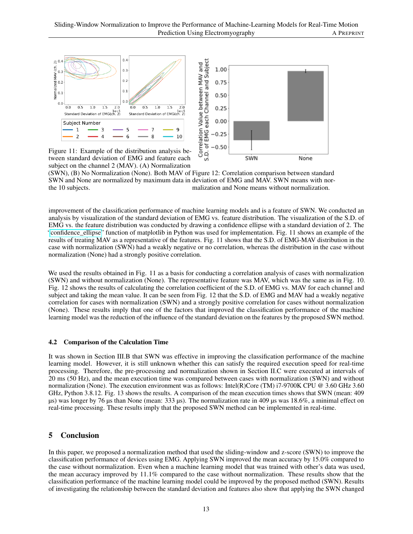

tween standard deviation of EMG and feature each subject on the channel 2 (MAV). (A) Normalization

(SWN), (B) No Normalization (None). Both MAV of Figure 12: Correlation comparison between standard SWN and None are normalized by maximum data in deviation of EMG and MAV. SWN means with northe 10 subjects. malization and None means without normalization.

improvement of the classification performance of machine learning models and is a feature of SWN. We conducted an analysis by visualization of the standard deviation of EMG vs. feature distribution. The visualization of the S.D. of EMG vs. the feature distribution was conducted by drawing a confidence ellipse with a standard deviation of 2. The ["confidence\\_ellipse"](https://matplotlib.org/devdocs/gallery/statistics/confidence_ellipse.html) function of matplotlib in Python was used for implementation. Fig. 11 shows an example of the results of treating MAV as a representative of the features. Fig. 11 shows that the S.D. of EMG-MAV distribution in the case with normalization (SWN) had a weakly negative or no correlation, whereas the distribution in the case without normalization (None) had a strongly positive correlation.

We used the results obtained in Fig. 11 as a basis for conducting a correlation analysis of cases with normalization (SWN) and without normalization (None). The representative feature was MAV, which was the same as in Fig. 10. Fig. 12 shows the results of calculating the correlation coefficient of the S.D. of EMG vs. MAV for each channel and subject and taking the mean value. It can be seen from Fig. 12 that the S.D. of EMG and MAV had a weakly negative correlation for cases with normalization (SWN) and a strongly positive correlation for cases without normalization (None). These results imply that one of the factors that improved the classification performance of the machine learning model was the reduction of the influence of the standard deviation on the features by the proposed SWN method.

#### 4.2 Comparison of the Calculation Time

It was shown in Section III.B that SWN was effective in improving the classification performance of the machine learning model. However, it is still unknown whether this can satisfy the required execution speed for real-time processing. Therefore, the pre-processing and normalization shown in Section II.C were executed at intervals of 20 ms (50 Hz), and the mean execution time was compared between cases with normalization (SWN) and without normalization (None). The execution environment was as follows: Intel(R)Core (TM) i7-9700K CPU @ 3.60 GHz 3.60 GHz, Python 3.8.12. Fig. 13 shows the results. A comparison of the mean execution times shows that SWN (mean: 409 µs) was longer by 76 µs than None (mean: 333 µs). The normalization rate in 409 µs was 18.6%, a minimal effect on real-time processing. These results imply that the proposed SWN method can be implemented in real-time.

## 5 Conclusion

In this paper, we proposed a normalization method that used the sliding-window and z-score (SWN) to improve the classification performance of devices using EMG. Applying SWN improved the mean accuracy by 15.0% compared to the case without normalization. Even when a machine learning model that was trained with other's data was used, the mean accuracy improved by 11.1% compared to the case without normalization. These results show that the classification performance of the machine learning model could be improved by the proposed method (SWN). Results of investigating the relationship between the standard deviation and features also show that applying the SWN changed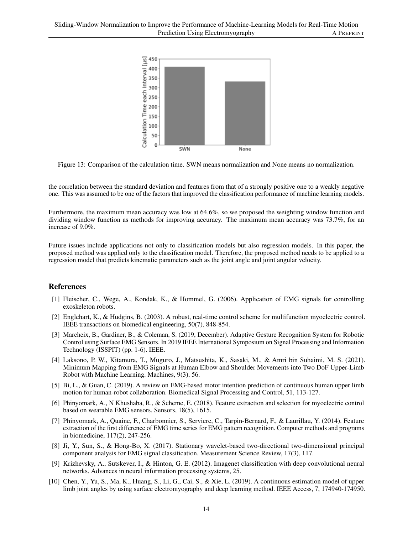

Figure 13: Comparison of the calculation time. SWN means normalization and None means no normalization.

the correlation between the standard deviation and features from that of a strongly positive one to a weakly negative one. This was assumed to be one of the factors that improved the classification performance of machine learning models.

Furthermore, the maximum mean accuracy was low at 64.6%, so we proposed the weighting window function and dividing window function as methods for improving accuracy. The maximum mean accuracy was 73.7%, for an increase of 9.0%.

Future issues include applications not only to classification models but also regression models. In this paper, the proposed method was applied only to the classification model. Therefore, the proposed method needs to be applied to a regression model that predicts kinematic parameters such as the joint angle and joint angular velocity.

## References

- [1] Fleischer, C., Wege, A., Kondak, K., & Hommel, G. (2006). Application of EMG signals for controlling exoskeleton robots.
- [2] Englehart, K., & Hudgins, B. (2003). A robust, real-time control scheme for multifunction myoelectric control. IEEE transactions on biomedical engineering, 50(7), 848-854.
- [3] Marcheix, B., Gardiner, B., & Coleman, S. (2019, December). Adaptive Gesture Recognition System for Robotic Control using Surface EMG Sensors. In 2019 IEEE International Symposium on Signal Processing and Information Technology (ISSPIT) (pp. 1-6). IEEE.
- [4] Laksono, P. W., Kitamura, T., Muguro, J., Matsushita, K., Sasaki, M., & Amri bin Suhaimi, M. S. (2021). Minimum Mapping from EMG Signals at Human Elbow and Shoulder Movements into Two DoF Upper-Limb Robot with Machine Learning. Machines, 9(3), 56.
- [5] Bi, L., & Guan, C. (2019). A review on EMG-based motor intention prediction of continuous human upper limb motion for human-robot collaboration. Biomedical Signal Processing and Control, 51, 113-127.
- [6] Phinyomark, A., N Khushaba, R., & Scheme, E. (2018). Feature extraction and selection for myoelectric control based on wearable EMG sensors. Sensors, 18(5), 1615.
- [7] Phinyomark, A., Quaine, F., Charbonnier, S., Serviere, C., Tarpin-Bernard, F., & Laurillau, Y. (2014). Feature extraction of the first difference of EMG time series for EMG pattern recognition. Computer methods and programs in biomedicine, 117(2), 247-256.
- [8] Ji, Y., Sun, S., & Hong-Bo, X. (2017). Stationary wavelet-based two-directional two-dimensional principal component analysis for EMG signal classification. Measurement Science Review, 17(3), 117.
- [9] Krizhevsky, A., Sutskever, I., & Hinton, G. E. (2012). Imagenet classification with deep convolutional neural networks. Advances in neural information processing systems, 25.
- [10] Chen, Y., Yu, S., Ma, K., Huang, S., Li, G., Cai, S., & Xie, L. (2019). A continuous estimation model of upper limb joint angles by using surface electromyography and deep learning method. IEEE Access, 7, 174940-174950.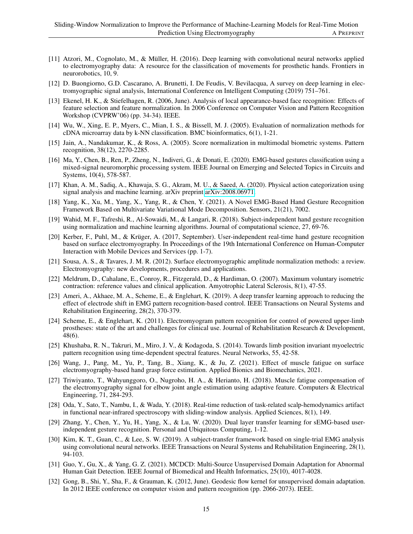- [11] Atzori, M., Cognolato, M., & Müller, H. (2016). Deep learning with convolutional neural networks applied to electromyography data: A resource for the classification of movements for prosthetic hands. Frontiers in neurorobotics, 10, 9.
- [12] D. Buongiorno, G.D. Cascarano, A. Brunetti, I. De Feudis, V. Bevilacqua, A survey on deep learning in electromyographic signal analysis, International Conference on Intelligent Computing (2019) 751–761.
- [13] Ekenel, H. K., & Stiefelhagen, R. (2006, June). Analysis of local appearance-based face recognition: Effects of feature selection and feature normalization. In 2006 Conference on Computer Vision and Pattern Recognition Workshop (CVPRW'06) (pp. 34-34). IEEE.
- [14] Wu, W., Xing, E. P., Myers, C., Mian, I. S., & Bissell, M. J. (2005). Evaluation of normalization methods for cDNA microarray data by k-NN classification. BMC bioinformatics, 6(1), 1-21.
- [15] Jain, A., Nandakumar, K., & Ross, A. (2005). Score normalization in multimodal biometric systems. Pattern recognition, 38(12), 2270-2285.
- [16] Ma, Y., Chen, B., Ren, P., Zheng, N., Indiveri, G., & Donati, E. (2020). EMG-based gestures classification using a mixed-signal neuromorphic processing system. IEEE Journal on Emerging and Selected Topics in Circuits and Systems, 10(4), 578-587.
- [17] Khan, A. M., Sadiq, A., Khawaja, S. G., Akram, M. U., & Saeed, A. (2020). Physical action categorization using signal analysis and machine learning. arXiv preprint [arXiv:2008.06971.](http://arxiv.org/abs/2008.06971)
- [18] Yang, K., Xu, M., Yang, X., Yang, R., & Chen, Y. (2021). A Novel EMG-Based Hand Gesture Recognition Framework Based on Multivariate Variational Mode Decomposition. Sensors, 21(21), 7002.
- [19] Wahid, M. F., Tafreshi, R., Al-Sowaidi, M., & Langari, R. (2018). Subject-independent hand gesture recognition using normalization and machine learning algorithms. Journal of computational science, 27, 69-76.
- [20] Kerber, F., Puhl, M., & Krüger, A. (2017, September). User-independent real-time hand gesture recognition based on surface electromyography. In Proceedings of the 19th International Conference on Human-Computer Interaction with Mobile Devices and Services (pp. 1-7).
- [21] Sousa, A. S., & Tavares, J. M. R. (2012). Surface electromyographic amplitude normalization methods: a review. Electromyography: new developments, procedures and applications.
- [22] Meldrum, D., Cahalane, E., Conroy, R., Fitzgerald, D., & Hardiman, O. (2007). Maximum voluntary isometric contraction: reference values and clinical application. Amyotrophic Lateral Sclerosis, 8(1), 47-55.
- [23] Ameri, A., Akhaee, M. A., Scheme, E., & Englehart, K. (2019). A deep transfer learning approach to reducing the effect of electrode shift in EMG pattern recognition-based control. IEEE Transactions on Neural Systems and Rehabilitation Engineering, 28(2), 370-379.
- [24] Scheme, E., & Englehart, K. (2011). Electromyogram pattern recognition for control of powered upper-limb prostheses: state of the art and challenges for clinical use. Journal of Rehabilitation Research & Development, 48(6).
- [25] Khushaba, R. N., Takruri, M., Miro, J. V., & Kodagoda, S. (2014). Towards limb position invariant myoelectric pattern recognition using time-dependent spectral features. Neural Networks, 55, 42-58.
- [26] Wang, J., Pang, M., Yu, P., Tang, B., Xiang, K., & Ju, Z. (2021). Effect of muscle fatigue on surface electromyography-based hand grasp force estimation. Applied Bionics and Biomechanics, 2021.
- [27] Triwiyanto, T., Wahyunggoro, O., Nugroho, H. A., & Herianto, H. (2018). Muscle fatigue compensation of the electromyography signal for elbow joint angle estimation using adaptive feature. Computers & Electrical Engineering, 71, 284-293.
- [28] Oda, Y., Sato, T., Nambu, I., & Wada, Y. (2018). Real-time reduction of task-related scalp-hemodynamics artifact in functional near-infrared spectroscopy with sliding-window analysis. Applied Sciences, 8(1), 149.
- [29] Zhang, Y., Chen, Y., Yu, H., Yang, X., & Lu, W. (2020). Dual layer transfer learning for sEMG-based userindependent gesture recognition. Personal and Ubiquitous Computing, 1-12.
- [30] Kim, K. T., Guan, C., & Lee, S. W. (2019). A subject-transfer framework based on single-trial EMG analysis using convolutional neural networks. IEEE Transactions on Neural Systems and Rehabilitation Engineering, 28(1), 94-103.
- [31] Guo, Y., Gu, X., & Yang, G. Z. (2021). MCDCD: Multi-Source Unsupervised Domain Adaptation for Abnormal Human Gait Detection. IEEE Journal of Biomedical and Health Informatics, 25(10), 4017-4028.
- [32] Gong, B., Shi, Y., Sha, F., & Grauman, K. (2012, June). Geodesic flow kernel for unsupervised domain adaptation. In 2012 IEEE conference on computer vision and pattern recognition (pp. 2066-2073). IEEE.